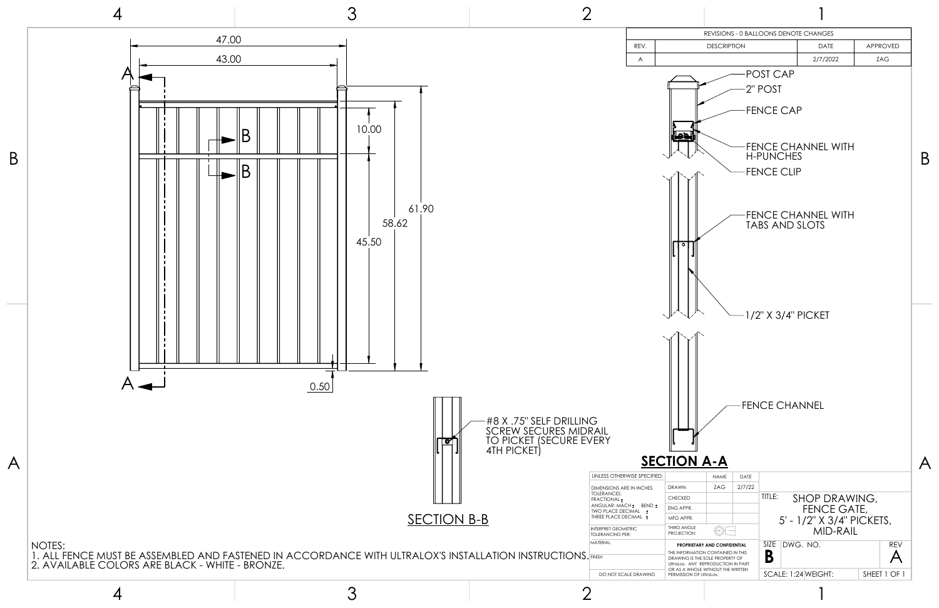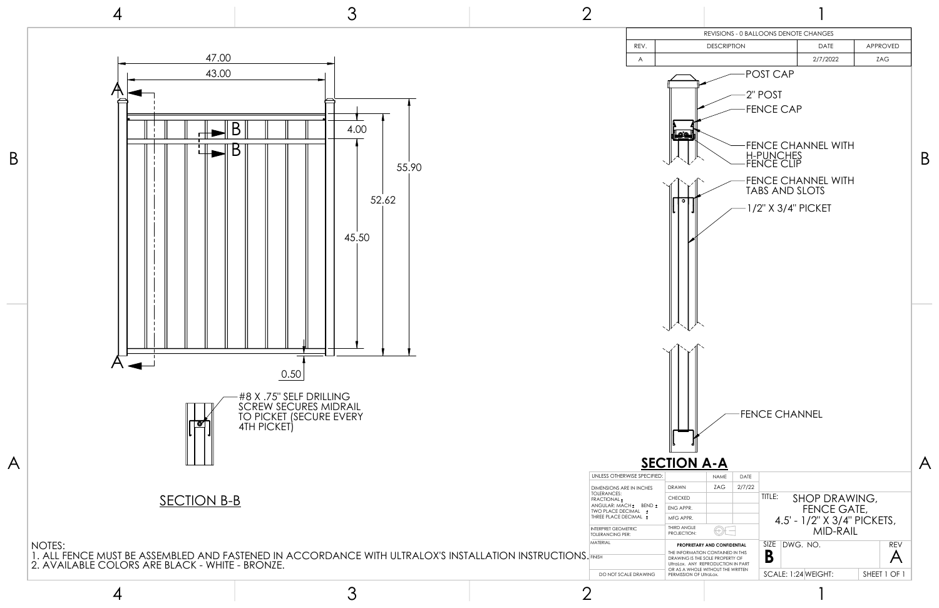



4



3

2

2



1

## UNLESS OTHERWISE SPECIFIED:



| DIMENSIONS ARE IN INCHES<br>TOLERANCES:<br><b>FRACTIONAL</b><br>ANGULAR: MACH + BEND +<br>TWO PLACE DECIMAL<br>$\pm$ | DRAWN                                                     |
|----------------------------------------------------------------------------------------------------------------------|-----------------------------------------------------------|
|                                                                                                                      | <b>CHECKED</b>                                            |
|                                                                                                                      | <b>ENG APPR.</b>                                          |
| THREE PLACE DECIMAL +                                                                                                | MFG APPR.                                                 |
| <b>INTERPRET GEOMETRIC</b><br><b>TOLERANCING PER:</b>                                                                | THIRD ANGLE<br><b>PROJECTION:</b>                         |
| MATFRIAI                                                                                                             | <b>PROPRIET</b>                                           |
| <b>FINISH</b>                                                                                                        | <b>THE INFORMA</b><br><b>DRAWING IST</b><br>UltraLox. ANY |
| DO NOT SCAI E DRAWING                                                                                                | OR AS A WHO<br>PERMISSION C                               |
|                                                                                                                      |                                                           |